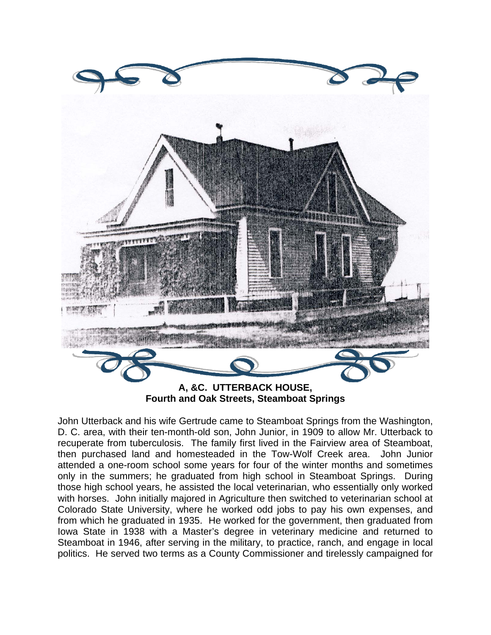

**Fourth and Oak Streets, Steamboat Springs** 

John Utterback and his wife Gertrude came to Steamboat Springs from the Washington, D. C. area, with their ten-month-old son, John Junior, in 1909 to allow Mr. Utterback to recuperate from tuberculosis. The family first lived in the Fairview area of Steamboat, then purchased land and homesteaded in the Tow-Wolf Creek area. John Junior attended a one-room school some years for four of the winter months and sometimes only in the summers; he graduated from high school in Steamboat Springs. During those high school years, he assisted the local veterinarian, who essentially only worked with horses. John initially majored in Agriculture then switched to veterinarian school at Colorado State University, where he worked odd jobs to pay his own expenses, and from which he graduated in 1935. He worked for the government, then graduated from Iowa State in 1938 with a Master's degree in veterinary medicine and returned to Steamboat in 1946, after serving in the military, to practice, ranch, and engage in local politics. He served two terms as a County Commissioner and tirelessly campaigned for